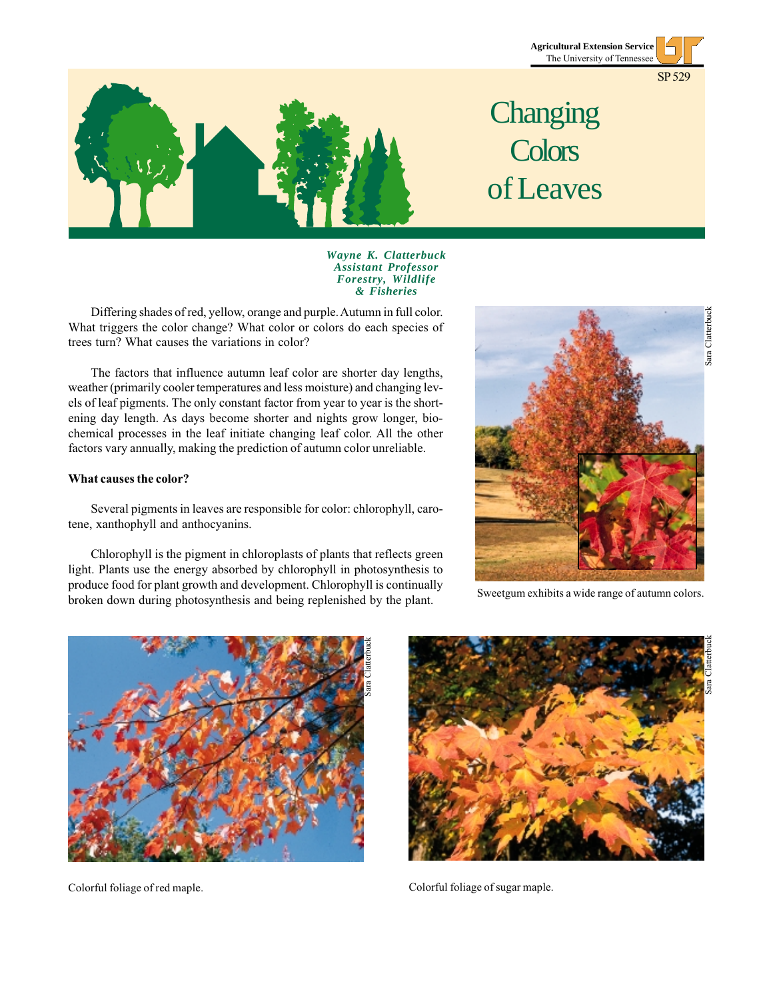



# **Changing Colors** of Leaves

*Wayne K. Clatterbuck Assistant Professor Forestry, Wildlife & Fisheries*

Differing shades of red, yellow, orange and purple. Autumn in full color. What triggers the color change? What color or colors do each species of trees turn? What causes the variations in color?

The factors that influence autumn leaf color are shorter day lengths, weather (primarily cooler temperatures and less moisture) and changing levels of leaf pigments. The only constant factor from year to year is the shortening day length. As days become shorter and nights grow longer, biochemical processes in the leaf initiate changing leaf color. All the other factors vary annually, making the prediction of autumn color unreliable.

#### **What causes the color?**

Several pigments in leaves are responsible for color: chlorophyll, carotene, xanthophyll and anthocyanins.

Chlorophyll is the pigment in chloroplasts of plants that reflects green light. Plants use the energy absorbed by chlorophyll in photosynthesis to produce food for plant growth and development. Chlorophyll is continually broken down during photosynthesis and being replenished by the plant.



Sweetgum exhibits a wide range of autumn colors.



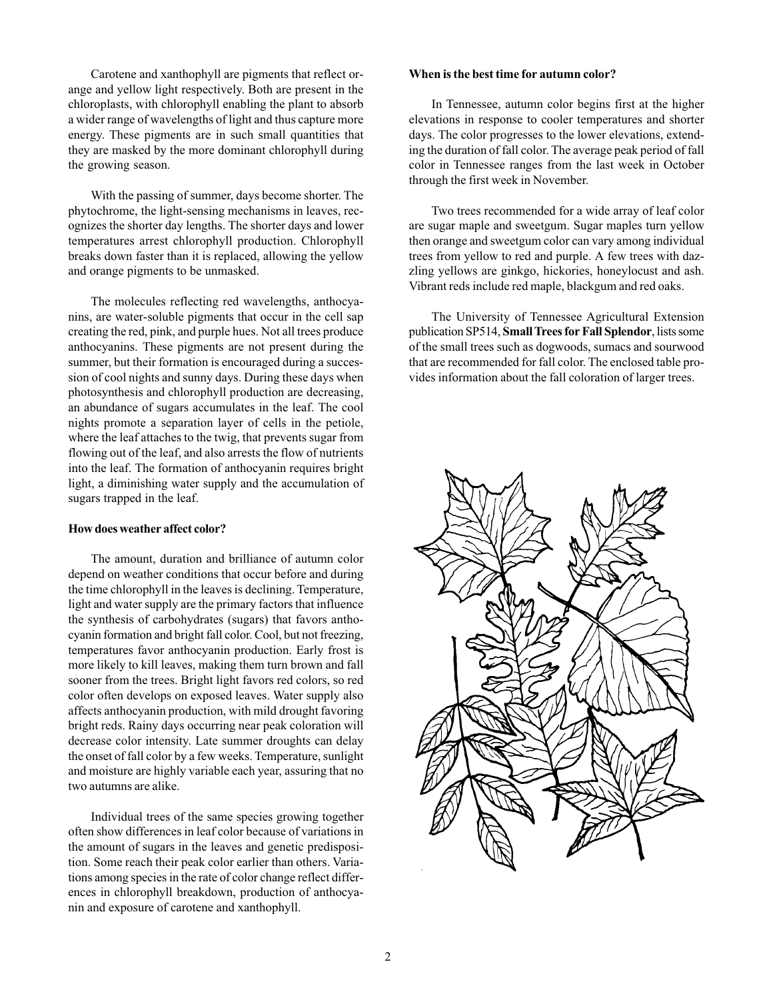Carotene and xanthophyll are pigments that reflect orange and yellow light respectively. Both are present in the chloroplasts, with chlorophyll enabling the plant to absorb a wider range of wavelengths of light and thus capture more energy. These pigments are in such small quantities that they are masked by the more dominant chlorophyll during the growing season.

With the passing of summer, days become shorter. The phytochrome, the light-sensing mechanisms in leaves, recognizes the shorter day lengths. The shorter days and lower temperatures arrest chlorophyll production. Chlorophyll breaks down faster than it is replaced, allowing the yellow and orange pigments to be unmasked.

The molecules reflecting red wavelengths, anthocyanins, are water-soluble pigments that occur in the cell sap creating the red, pink, and purple hues. Not all trees produce anthocyanins. These pigments are not present during the summer, but their formation is encouraged during a succession of cool nights and sunny days. During these days when photosynthesis and chlorophyll production are decreasing, an abundance of sugars accumulates in the leaf. The cool nights promote a separation layer of cells in the petiole, where the leaf attaches to the twig, that prevents sugar from flowing out of the leaf, and also arrests the flow of nutrients into the leaf. The formation of anthocyanin requires bright light, a diminishing water supply and the accumulation of sugars trapped in the leaf.

#### **How does weather affect color?**

The amount, duration and brilliance of autumn color depend on weather conditions that occur before and during the time chlorophyll in the leaves is declining. Temperature, light and water supply are the primary factors that influence the synthesis of carbohydrates (sugars) that favors anthocyanin formation and bright fall color. Cool, but not freezing, temperatures favor anthocyanin production. Early frost is more likely to kill leaves, making them turn brown and fall sooner from the trees. Bright light favors red colors, so red color often develops on exposed leaves. Water supply also affects anthocyanin production, with mild drought favoring bright reds. Rainy days occurring near peak coloration will decrease color intensity. Late summer droughts can delay the onset of fall color by a few weeks. Temperature, sunlight and moisture are highly variable each year, assuring that no two autumns are alike.

Individual trees of the same species growing together often show differences in leaf color because of variations in the amount of sugars in the leaves and genetic predisposition. Some reach their peak color earlier than others. Variations among species in the rate of color change reflect differences in chlorophyll breakdown, production of anthocyanin and exposure of carotene and xanthophyll.

#### **When is the best time for autumn color?**

In Tennessee, autumn color begins first at the higher elevations in response to cooler temperatures and shorter days. The color progresses to the lower elevations, extending the duration of fall color. The average peak period of fall color in Tennessee ranges from the last week in October through the first week in November.

Two trees recommended for a wide array of leaf color are sugar maple and sweetgum. Sugar maples turn yellow then orange and sweetgum color can vary among individual trees from yellow to red and purple. A few trees with dazzling yellows are ginkgo, hickories, honeylocust and ash. Vibrant reds include red maple, blackgum and red oaks.

The University of Tennessee Agricultural Extension publication SP514, **Small Trees for Fall Splendor**, lists some of the small trees such as dogwoods, sumacs and sourwood that are recommended for fall color. The enclosed table provides information about the fall coloration of larger trees.

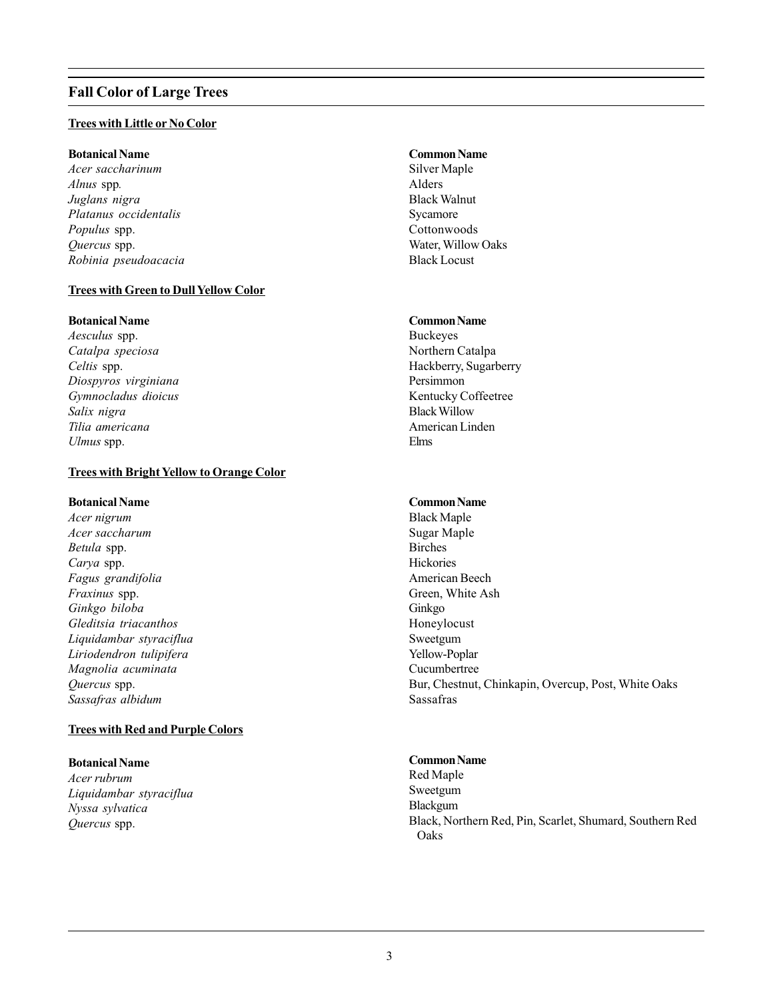# **Fall Color of Large Trees**

# **Trees with Little or No Color**

# **Botanical Name**

*Acer saccharinum Alnus* spp*. Juglans nigra Platanus occidentalis Populus* spp. *Quercus* spp. *Robinia pseudoacacia*

# **Trees with Green to Dull Yellow Color**

# **Botanical Name**

*Aesculus* spp. *Catalpa speciosa Celtis* spp. *Diospyros virginiana Gymnocladus dioicus Salix nigra Tilia americana Ulmus* spp.

# **Trees with Bright Yellow to Orange Color**

#### **Botanical Name**

*Acer nigrum Acer saccharum Betula* spp. *Carya* spp. *Fagus grandifolia Fraxinus* spp. *Ginkgo biloba Gleditsia triacanthos Liquidambar styraciflua Liriodendron tulipifera Magnolia acuminata Quercus* spp. *Sassafras albidum*

# **Trees with Red and Purple Colors**

### **Botanical Name**

*Acer rubrum Liquidambar styraciflua Nyssa sylvatica Quercus* spp.

# **Common Name**

Silver Maple Alders Black Walnut Sycamore **Cottonwoods** Water, Willow Oaks Black Locust

#### **Common Name**

Buckeyes Northern Catalpa Hackberry, Sugarberry Persimmon Kentucky Coffeetree Black Willow American Linden Elms

# **Common Name**

Black Maple Sugar Maple Birches Hickories American Beech Green, White Ash Ginkgo Honeylocust Sweetgum Yellow-Poplar Cucumbertree Bur, Chestnut, Chinkapin, Overcup, Post, White Oaks Sassafras

### **Common Name**

Red Maple Sweetgum Blackgum Black, Northern Red, Pin, Scarlet, Shumard, Southern Red Oaks